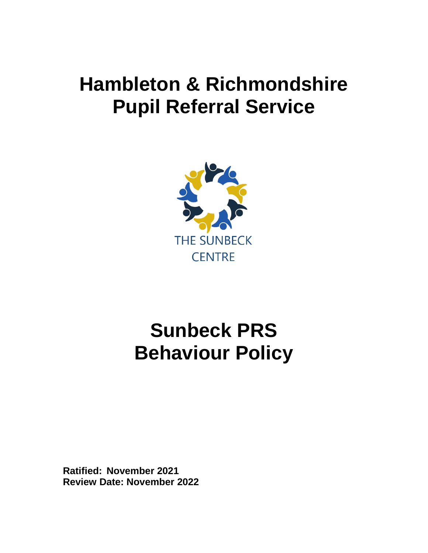## **Hambleton & Richmondshire Pupil Referral Service**



# **Sunbeck PRS Behaviour Policy**

**Ratified: November 2021 Review Date: November 2022**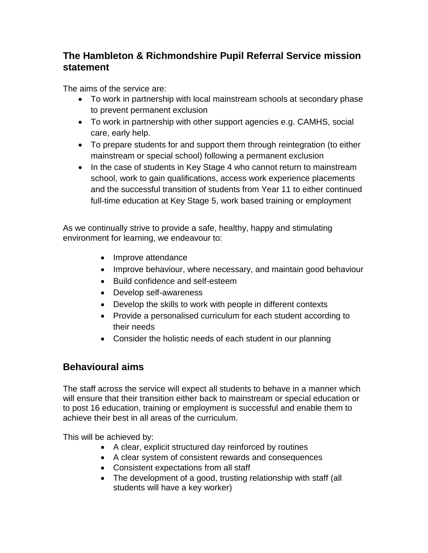## **The Hambleton & Richmondshire Pupil Referral Service mission statement**

The aims of the service are:

- To work in partnership with local mainstream schools at secondary phase to prevent permanent exclusion
- To work in partnership with other support agencies e.g. CAMHS, social care, early help.
- To prepare students for and support them through reintegration (to either mainstream or special school) following a permanent exclusion
- In the case of students in Key Stage 4 who cannot return to mainstream school, work to gain qualifications, access work experience placements and the successful transition of students from Year 11 to either continued full-time education at Key Stage 5, work based training or employment

As we continually strive to provide a safe, healthy, happy and stimulating environment for learning, we endeavour to:

- Improve attendance
- Improve behaviour, where necessary, and maintain good behaviour
- Build confidence and self-esteem
- Develop self-awareness
- Develop the skills to work with people in different contexts
- Provide a personalised curriculum for each student according to their needs
- Consider the holistic needs of each student in our planning

#### **Behavioural aims**

The staff across the service will expect all students to behave in a manner which will ensure that their transition either back to mainstream or special education or to post 16 education, training or employment is successful and enable them to achieve their best in all areas of the curriculum.

This will be achieved by:

- A clear, explicit structured day reinforced by routines
- A clear system of consistent rewards and consequences
- Consistent expectations from all staff
- The development of a good, trusting relationship with staff (all students will have a key worker)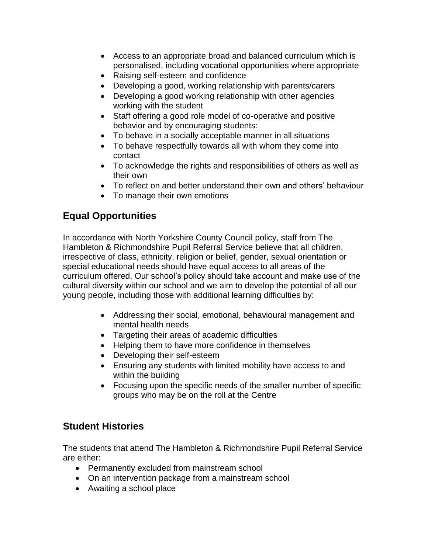- Access to an appropriate broad and balanced curriculum which is personalised, including vocational opportunities where appropriate
- Raising self-esteem and confidence
- Developing a good, working relationship with parents/carers
- Developing a good working relationship with other agencies working with the student
- Staff offering a good role model of co-operative and positive behavior and by encouraging students:
- To behave in a socially acceptable manner in all situations
- To behave respectfully towards all with whom they come into contact
- To acknowledge the rights and responsibilities of others as well as their own
- To reflect on and better understand their own and others' behaviour
- To manage their own emotions

## **Equal Opportunities**

In accordance with North Yorkshire County Council policy, staff from The Hambleton & Richmondshire Pupil Referral Service believe that all children, irrespective of class, ethnicity, religion or belief, gender, sexual orientation or special educational needs should have equal access to all areas of the curriculum offered. Our school's policy should take account and make use of the cultural diversity within our school and we aim to develop the potential of all our young people, including those with additional learning difficulties by:

- Addressing their social, emotional, behavioural management and mental health needs
- Targeting their areas of academic difficulties
- Helping them to have more confidence in themselves
- Developing their self-esteem
- Ensuring any students with limited mobility have access to and within the building
- Focusing upon the specific needs of the smaller number of specific groups who may be on the roll at the Centre

#### **Student Histories**

The students that attend The Hambleton & Richmondshire Pupil Referral Service are either:

- Permanently excluded from mainstream school
- On an intervention package from a mainstream school
- Awaiting a school place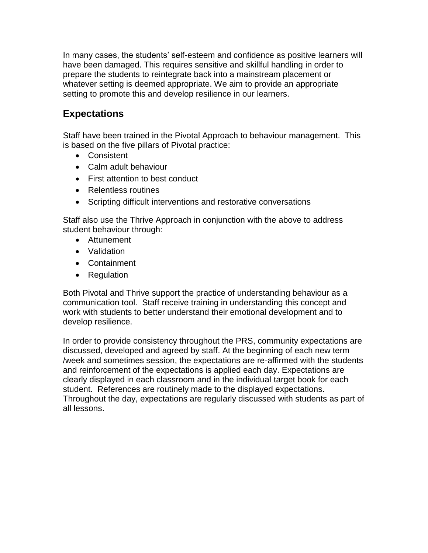In many cases, the students' self-esteem and confidence as positive learners will have been damaged. This requires sensitive and skillful handling in order to prepare the students to reintegrate back into a mainstream placement or whatever setting is deemed appropriate. We aim to provide an appropriate setting to promote this and develop resilience in our learners.

## **Expectations**

Staff have been trained in the Pivotal Approach to behaviour management. This is based on the five pillars of Pivotal practice:

- Consistent
- Calm adult behaviour
- First attention to best conduct
- Relentless routines
- Scripting difficult interventions and restorative conversations

Staff also use the Thrive Approach in conjunction with the above to address student behaviour through:

- Attunement
- Validation
- Containment
- Regulation

Both Pivotal and Thrive support the practice of understanding behaviour as a communication tool. Staff receive training in understanding this concept and work with students to better understand their emotional development and to develop resilience.

In order to provide consistency throughout the PRS, community expectations are discussed, developed and agreed by staff. At the beginning of each new term /week and sometimes session, the expectations are re-affirmed with the students and reinforcement of the expectations is applied each day. Expectations are clearly displayed in each classroom and in the individual target book for each student. References are routinely made to the displayed expectations. Throughout the day, expectations are regularly discussed with students as part of all lessons.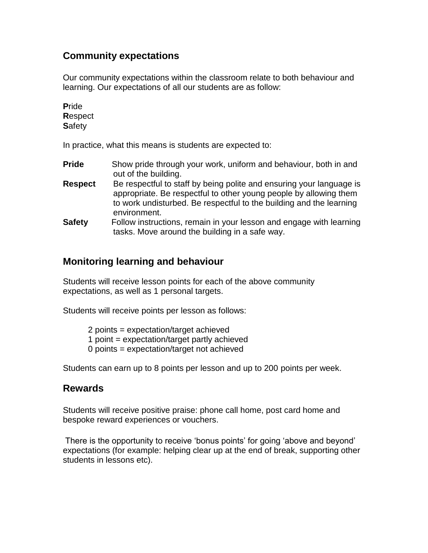#### **Community expectations**

Our community expectations within the classroom relate to both behaviour and learning. Our expectations of all our students are as follow:

**P**ride **R**espect **S**afety

In practice, what this means is students are expected to:

- **Pride** Show pride through your work, uniform and behaviour, both in and out of the building.
- **Respect** Be respectful to staff by being polite and ensuring your language is appropriate. Be respectful to other young people by allowing them to work undisturbed. Be respectful to the building and the learning environment.
- **Safety** Follow instructions, remain in your lesson and engage with learning tasks. Move around the building in a safe way.

#### **Monitoring learning and behaviour**

Students will receive lesson points for each of the above community expectations, as well as 1 personal targets.

Students will receive points per lesson as follows:

- 2 points = expectation/target achieved
- 1 point = expectation/target partly achieved
- 0 points = expectation/target not achieved

Students can earn up to 8 points per lesson and up to 200 points per week.

#### **Rewards**

Students will receive positive praise: phone call home, post card home and bespoke reward experiences or vouchers.

There is the opportunity to receive 'bonus points' for going 'above and beyond' expectations (for example: helping clear up at the end of break, supporting other students in lessons etc).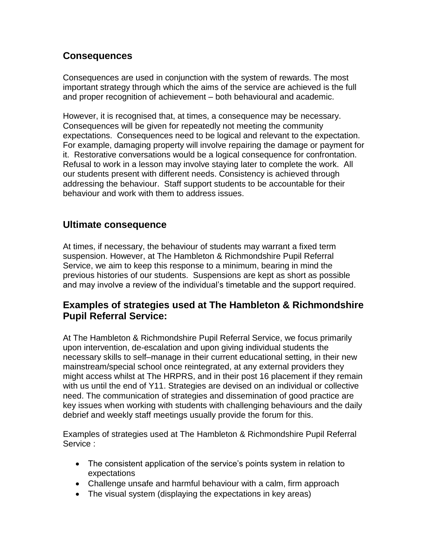#### **Consequences**

Consequences are used in conjunction with the system of rewards. The most important strategy through which the aims of the service are achieved is the full and proper recognition of achievement – both behavioural and academic.

However, it is recognised that, at times, a consequence may be necessary. Consequences will be given for repeatedly not meeting the community expectations. Consequences need to be logical and relevant to the expectation. For example, damaging property will involve repairing the damage or payment for it. Restorative conversations would be a logical consequence for confrontation. Refusal to work in a lesson may involve staying later to complete the work. All our students present with different needs. Consistency is achieved through addressing the behaviour. Staff support students to be accountable for their behaviour and work with them to address issues.

#### **Ultimate consequence**

At times, if necessary, the behaviour of students may warrant a fixed term suspension. However, at The Hambleton & Richmondshire Pupil Referral Service, we aim to keep this response to a minimum, bearing in mind the previous histories of our students. Suspensions are kept as short as possible and may involve a review of the individual's timetable and the support required.

#### **Examples of strategies used at The Hambleton & Richmondshire Pupil Referral Service:**

At The Hambleton & Richmondshire Pupil Referral Service, we focus primarily upon intervention, de-escalation and upon giving individual students the necessary skills to self–manage in their current educational setting, in their new mainstream/special school once reintegrated, at any external providers they might access whilst at The HRPRS, and in their post 16 placement if they remain with us until the end of Y11. Strategies are devised on an individual or collective need. The communication of strategies and dissemination of good practice are key issues when working with students with challenging behaviours and the daily debrief and weekly staff meetings usually provide the forum for this.

Examples of strategies used at The Hambleton & Richmondshire Pupil Referral Service :

- The consistent application of the service's points system in relation to expectations
- Challenge unsafe and harmful behaviour with a calm, firm approach
- The visual system (displaying the expectations in key areas)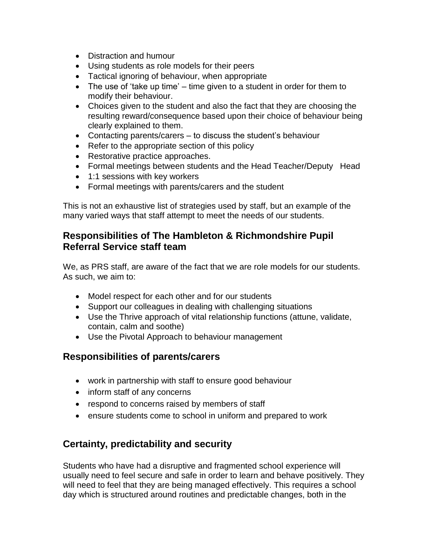- Distraction and humour
- Using students as role models for their peers
- Tactical ignoring of behaviour, when appropriate
- The use of 'take up time' time given to a student in order for them to modify their behaviour.
- Choices given to the student and also the fact that they are choosing the resulting reward/consequence based upon their choice of behaviour being clearly explained to them.
- Contacting parents/carers to discuss the student's behaviour
- Refer to the appropriate section of this policy
- Restorative practice approaches.
- Formal meetings between students and the Head Teacher/Deputy Head
- 1:1 sessions with key workers
- Formal meetings with parents/carers and the student

This is not an exhaustive list of strategies used by staff, but an example of the many varied ways that staff attempt to meet the needs of our students.

#### **Responsibilities of The Hambleton & Richmondshire Pupil Referral Service staff team**

We, as PRS staff, are aware of the fact that we are role models for our students. As such, we aim to:

- Model respect for each other and for our students
- Support our colleagues in dealing with challenging situations
- Use the Thrive approach of vital relationship functions (attune, validate, contain, calm and soothe)
- Use the Pivotal Approach to behaviour management

#### **Responsibilities of parents/carers**

- work in partnership with staff to ensure good behaviour
- inform staff of any concerns
- respond to concerns raised by members of staff
- ensure students come to school in uniform and prepared to work

#### **Certainty, predictability and security**

Students who have had a disruptive and fragmented school experience will usually need to feel secure and safe in order to learn and behave positively. They will need to feel that they are being managed effectively. This requires a school day which is structured around routines and predictable changes, both in the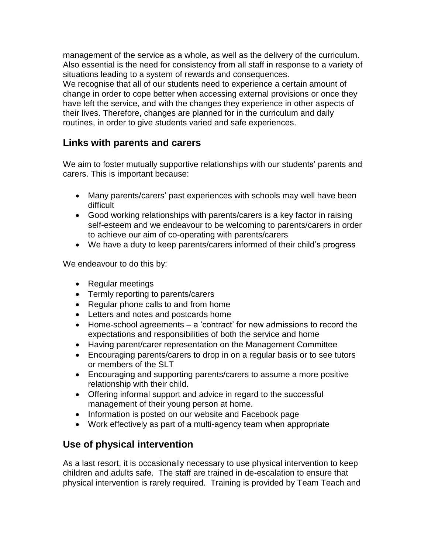management of the service as a whole, as well as the delivery of the curriculum. Also essential is the need for consistency from all staff in response to a variety of situations leading to a system of rewards and consequences.

We recognise that all of our students need to experience a certain amount of change in order to cope better when accessing external provisions or once they have left the service, and with the changes they experience in other aspects of their lives. Therefore, changes are planned for in the curriculum and daily routines, in order to give students varied and safe experiences.

## **Links with parents and carers**

We aim to foster mutually supportive relationships with our students' parents and carers. This is important because:

- Many parents/carers' past experiences with schools may well have been difficult
- Good working relationships with parents/carers is a key factor in raising self-esteem and we endeavour to be welcoming to parents/carers in order to achieve our aim of co-operating with parents/carers
- We have a duty to keep parents/carers informed of their child's progress

We endeavour to do this by:

- Regular meetings
- Termly reporting to parents/carers
- Regular phone calls to and from home
- Letters and notes and postcards home
- Home-school agreements a 'contract' for new admissions to record the expectations and responsibilities of both the service and home
- Having parent/carer representation on the Management Committee
- Encouraging parents/carers to drop in on a regular basis or to see tutors or members of the SLT
- Encouraging and supporting parents/carers to assume a more positive relationship with their child.
- Offering informal support and advice in regard to the successful management of their young person at home.
- Information is posted on our website and Facebook page
- Work effectively as part of a multi-agency team when appropriate

#### **Use of physical intervention**

As a last resort, it is occasionally necessary to use physical intervention to keep children and adults safe. The staff are trained in de-escalation to ensure that physical intervention is rarely required. Training is provided by Team Teach and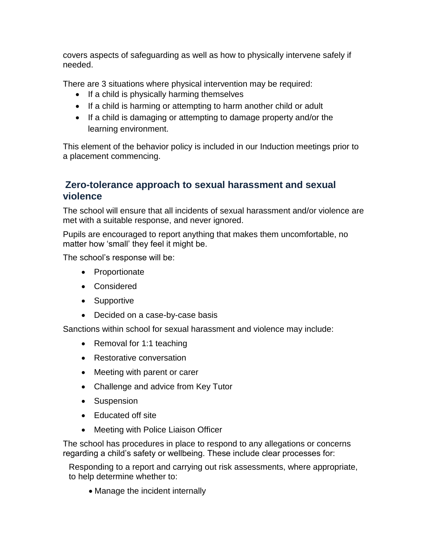covers aspects of safeguarding as well as how to physically intervene safely if needed.

There are 3 situations where physical intervention may be required:

- $\bullet$  If a child is physically harming themselves
- If a child is harming or attempting to harm another child or adult
- If a child is damaging or attempting to damage property and/or the learning environment.

This element of the behavior policy is included in our Induction meetings prior to a placement commencing.

#### **Zero-tolerance approach to sexual harassment and sexual violence**

The school will ensure that all incidents of sexual harassment and/or violence are met with a suitable response, and never ignored.

Pupils are encouraged to report anything that makes them uncomfortable, no matter how 'small' they feel it might be.

The school's response will be:

- Proportionate
- Considered
- Supportive
- Decided on a case-by-case basis

Sanctions within school for sexual harassment and violence may include:

- Removal for 1:1 teaching
- Restorative conversation
- Meeting with parent or carer
- Challenge and advice from Key Tutor
- Suspension
- Educated off site
- Meeting with Police Liaison Officer

The school has procedures in place to respond to any allegations or concerns regarding a child's safety or wellbeing. These include clear processes for:

Responding to a report and carrying out risk assessments, where appropriate, to help determine whether to:

• Manage the incident internally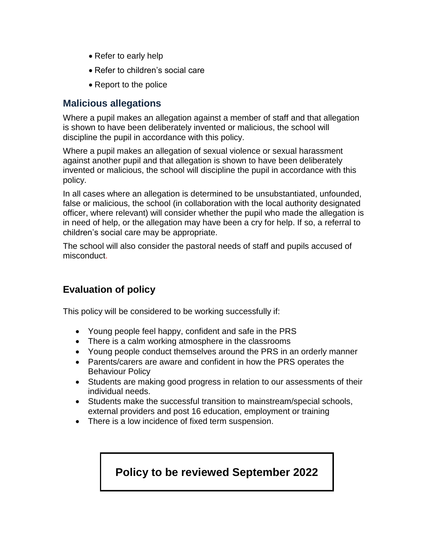- Refer to early help
- Refer to children's social care
- Report to the police

#### **Malicious allegations**

Where a pupil makes an allegation against a member of staff and that allegation is shown to have been deliberately invented or malicious, the school will discipline the pupil in accordance with this policy.

Where a pupil makes an allegation of sexual violence or sexual harassment against another pupil and that allegation is shown to have been deliberately invented or malicious, the school will discipline the pupil in accordance with this policy.

In all cases where an allegation is determined to be unsubstantiated, unfounded, false or malicious, the school (in collaboration with the local authority designated officer, where relevant) will consider whether the pupil who made the allegation is in need of help, or the allegation may have been a cry for help. If so, a referral to children's social care may be appropriate.

The school will also consider the pastoral needs of staff and pupils accused of misconduct.

## **Evaluation of policy**

This policy will be considered to be working successfully if:

- Young people feel happy, confident and safe in the PRS
- There is a calm working atmosphere in the classrooms
- Young people conduct themselves around the PRS in an orderly manner
- Parents/carers are aware and confident in how the PRS operates the Behaviour Policy
- Students are making good progress in relation to our assessments of their individual needs.
- Students make the successful transition to mainstream/special schools, external providers and post 16 education, employment or training
- There is a low incidence of fixed term suspension.

## **Policy to be reviewed September 2022**